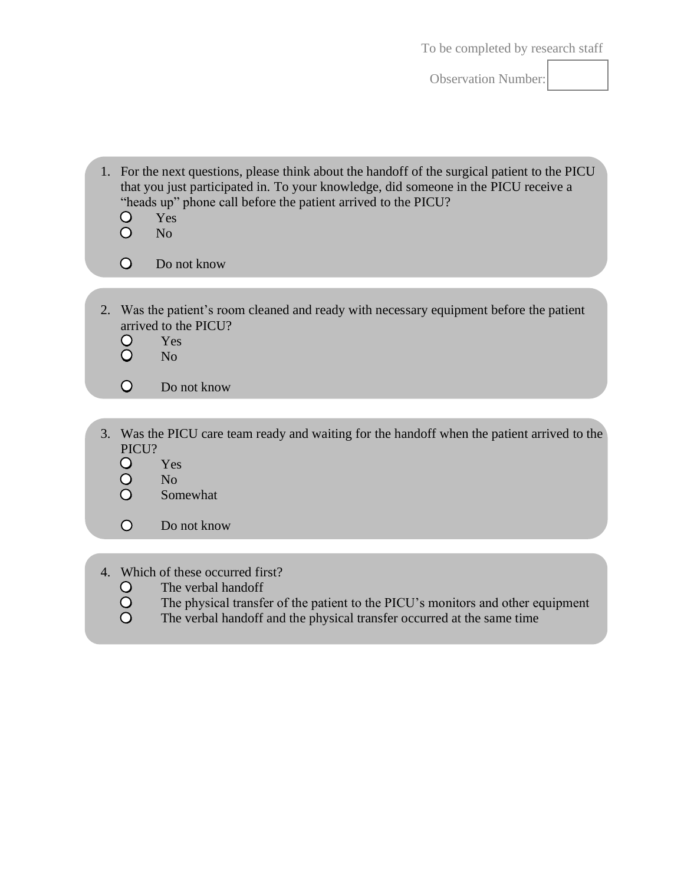Observation Number:

| 1. For the next questions, please think about the handoff of the surgical patient to the PICU |
|-----------------------------------------------------------------------------------------------|
| that you just participated in. To your knowledge, did someone in the PICU receive a           |
| "heads up" phone call before the patient arrived to the PICU?                                 |

- $\bigcirc$ Yes
- $\circ$ No
- $\circ$ Do not know
- 2. Was the patient's room cleaned and ready with necessary equipment before the patient arrived to the PICU?<br>
O Yes<br>
O No
	- Yes
	- No
	- $\circ$ Do not know
- 3. Was the PICU care team ready and waiting for the handoff when the patient arrived to the PICU?
	- $\circ$ Yes
	- $\bigcirc$ No
	- $\overline{O}$ Somewhat
	- $\bigcirc$ Do not know
- 4. Which of these occurred first?<br>
O The verbal handoff<br>
O The physical transfer of<br>
O The verbal handoff and
	- The verbal handoff
	- The physical transfer of the patient to the PICU's monitors and other equipment
	- The verbal handoff and the physical transfer occurred at the same time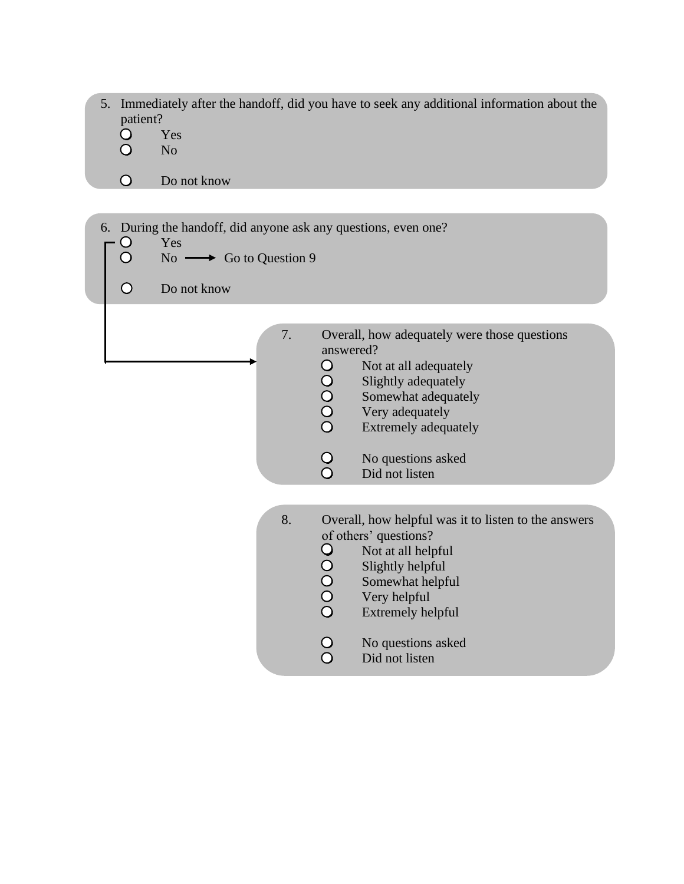- 5. Immediately after the handoff, did you have to seek any additional information about the patient?
	- $\bigcirc$ Yes
	- $\bigcirc$ No

 $\circ$ Do not know

6. During the handoff, did anyone ask any questions, even one?<br>  $\begin{bmatrix}\nO & Yes \\
O & No & \longrightarrow & Go to Question 9\n\end{bmatrix}$ Yes No  $\longrightarrow$  Go to Question 9  $\circ$ Do not know 7. Overall, how adequately were those questions answered? 00000 Not at all adequately Slightly adequately Somewhat adequately Very adequately Extremely adequately  $\begin{matrix} 0 \\ 0 \end{matrix}$ No questions asked Did not listen 8. Overall, how helpful was it to listen to the answers of others' questions? 00000 Not at all helpful Slightly helpful Somewhat helpful Very helpful Extremely helpful  $\frac{0}{0}$ No questions asked Did not listen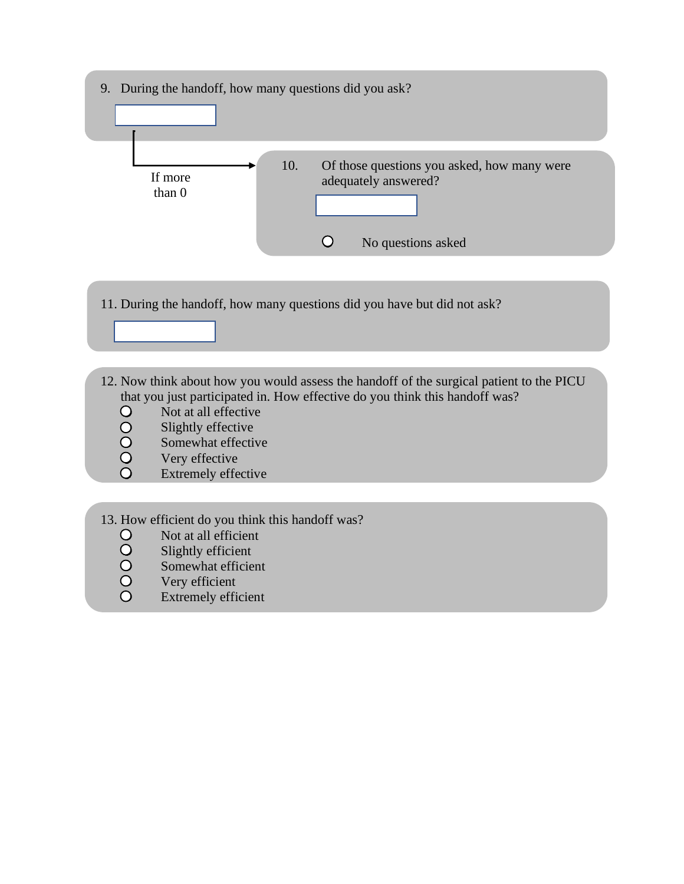

- Not at all efficient
- Slightly efficient
- Somewhat efficient
- 00000 Very efficient
	- Extremely efficient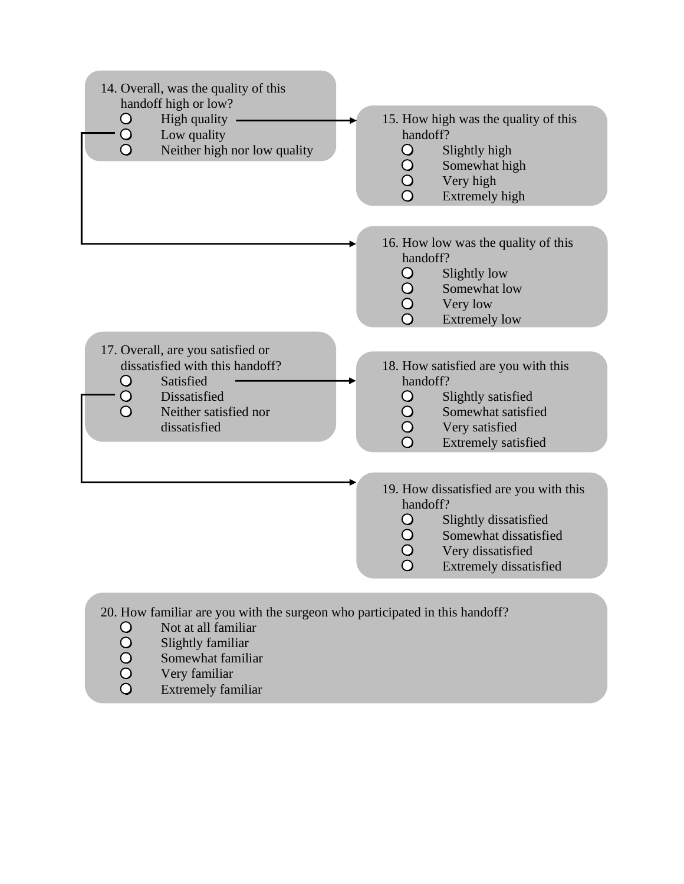

- 
- Extremely familiar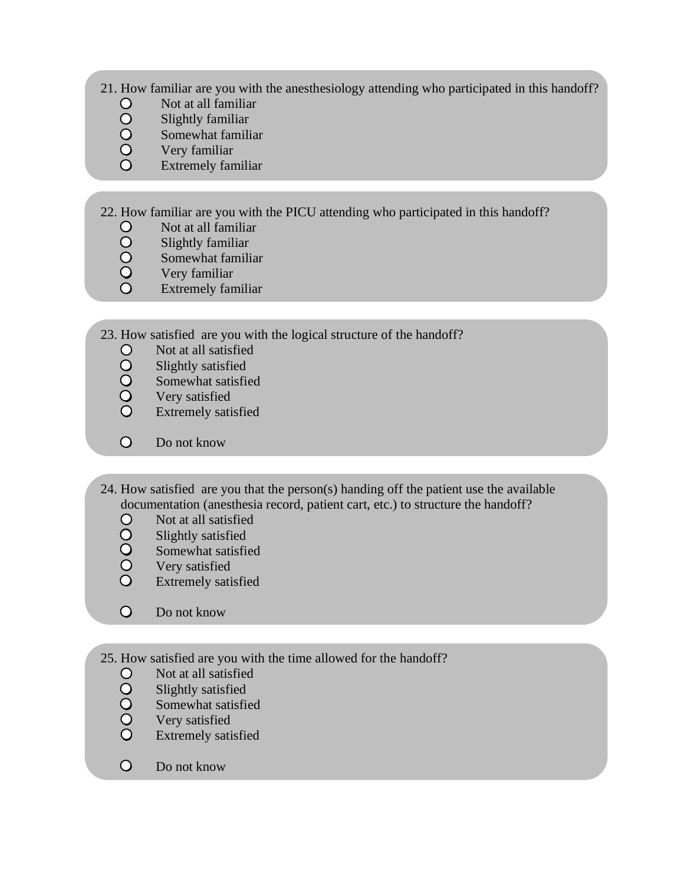- 21. How familiar are you with the anesthesiology attending who participated in this handoff?
	- Not at all familiar
	- Slightly familiar
	- Somewhat familiar
	- OOOOO Very familiar
	- Extremely familiar
- 22. How familiar are you with the PICU attending who participated in this handoff?
	- Not at all familiar
	- OOOO Slightly familiar
		- Somewhat familiar
	- Very familiar
	- Extremely familiar
- 23. How satisfied are you with the logical structure of the handoff?
	- Not at all satisfied
	- Slightly satisfied
	- Somewhat satisfied
	- OOOO Very satisfied
	- $\overline{O}$ Extremely satisfied
	- $\overline{O}$ Do not know
- 24. How satisfied are you that the person(s) handing off the patient use the available documentation (anesthesia record, patient cart, etc.) to structure the handoff?
	- $\bigcirc$ Not at all satisfied
	- Slightly satisfied
	- Somewhat satisfied
	- OOOO Very satisfied
	- Extremely satisfied
	- $\Omega$ Do not know
- 25. How satisfied are you with the time allowed for the handoff?
	- 00000 Not at all satisfied
		- Slightly satisfied
		- Somewhat satisfied
		- Very satisfied
		- Extremely satisfied
	- $\bigcirc$ Do not know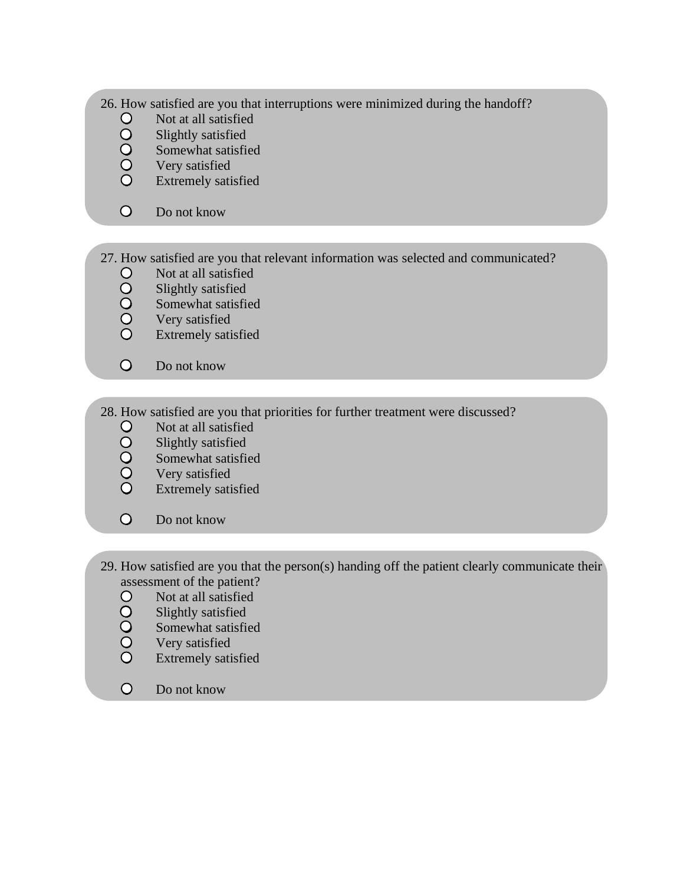- 26. How satisfied are you that interruptions were minimized during the handoff?
	- Not at all satisfied
	- 00000 Slightly satisfied
		- Somewhat satisfied
		- Very satisfied
		- Extremely satisfied
	- $\overline{O}$ Do not know
- 27. How satisfied are you that relevant information was selected and communicated?
	- Not at all satisfied
	- Slightly satisfied
	- 00000 Somewhat satisfied
		- Very satisfied
		- Extremely satisfied
	- $\overline{O}$ Do not know
- 28. How satisfied are you that priorities for further treatment were discussed?
	- Not at all satisfied
	- Slightly satisfied
	- 00000 Somewhat satisfied
	- Very satisfied
	- Extremely satisfied
	- $\overline{O}$ Do not know
- 29. How satisfied are you that the person(s) handing off the patient clearly communicate their assessment of the patient?
	- Not at all satisfied
	- 00000 Slightly satisfied
	- Somewhat satisfied
	- Very satisfied
	- Extremely satisfied
	- $\overline{O}$ Do not know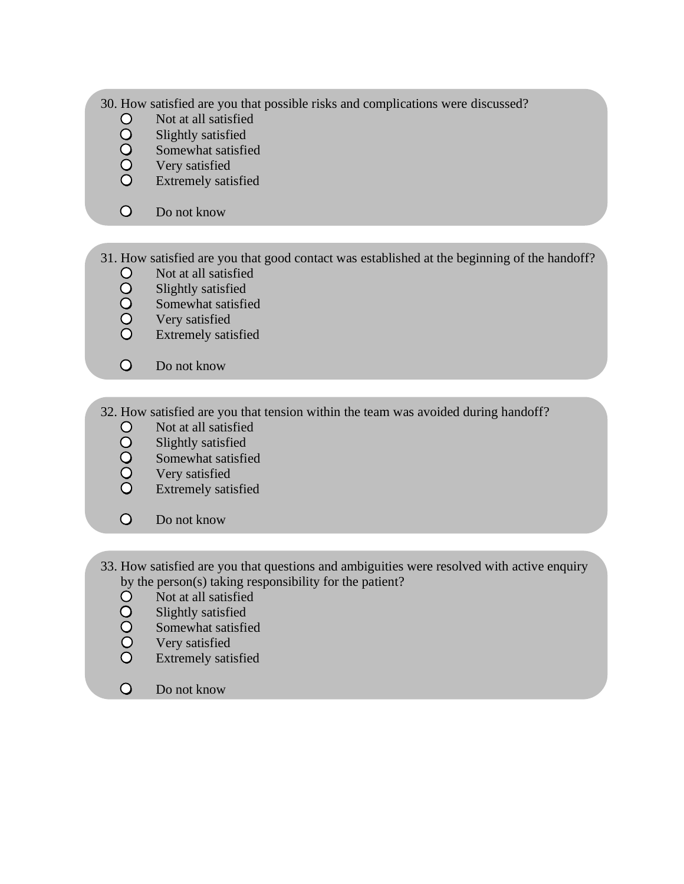- 30. How satisfied are you that possible risks and complications were discussed?
	- Not at all satisfied
	- 00000 Slightly satisfied
		- Somewhat satisfied
		- Very satisfied
		- Extremely satisfied
	- $\circ$ Do not know
- 31. How satisfied are you that good contact was established at the beginning of the handoff?
	- Not at all satisfied
	- Slightly satisfied
	- 00000 Somewhat satisfied
		- Very satisfied
		- Extremely satisfied
	- $\overline{O}$ Do not know
- 32. How satisfied are you that tension within the team was avoided during handoff?
	- Not at all satisfied
	- 00000 Slightly satisfied
	- Somewhat satisfied
	- Very satisfied
	- Extremely satisfied
	- $\overline{O}$ Do not know
- 33. How satisfied are you that questions and ambiguities were resolved with active enquiry by the person(s) taking responsibility for the patient?
	- Not at all satisfied
	- Slightly satisfied
	- Somewhat satisfied
	- 00000 Very satisfied
	- Extremely satisfied
	- $\Omega$ Do not know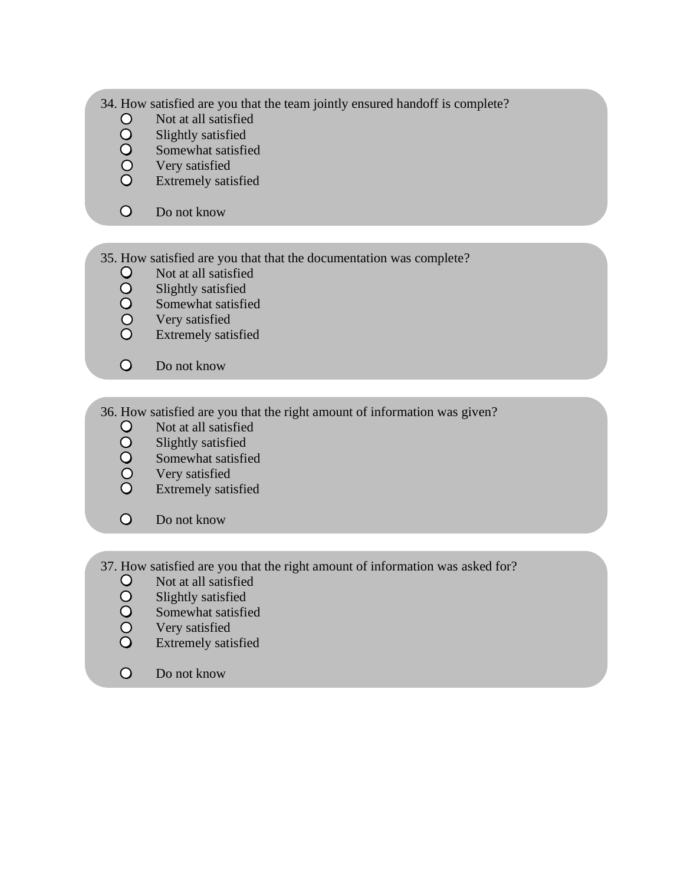- 34. How satisfied are you that the team jointly ensured handoff is complete?
	- Not at all satisfied
	- Slightly satisfied
	- 00000 Somewhat satisfied
		- Very satisfied
		- Extremely satisfied
	- $\overline{O}$ Do not know
- 35. How satisfied are you that that the documentation was complete?
	- Not at all satisfied
	- Slightly satisfied
	- 00000 Somewhat satisfied
		- Very satisfied
		- Extremely satisfied
	- $\overline{O}$ Do not know
- 36. How satisfied are you that the right amount of information was given?
	- Not at all satisfied
	- Slightly satisfied
	- 00000 Somewhat satisfied
	- Very satisfied
	- Extremely satisfied
	- $\overline{O}$ Do not know
- 37. How satisfied are you that the right amount of information was asked for?
	- 00000 Not at all satisfied
	- Slightly satisfied
	- Somewhat satisfied
	- Very satisfied
	- Extremely satisfied
	- $\overline{O}$ Do not know